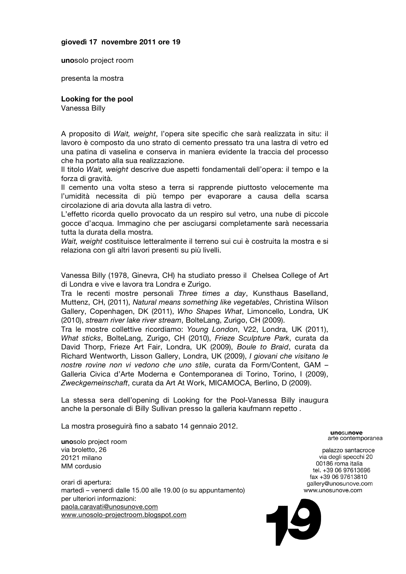## **giovedì 17 novembre 2011 ore 19**

**uno**solo project room

presenta la mostra

## **Looking for the pool**

Vanessa Billy

A proposito di *Wait, weight*, l'opera site specific che sarà realizzata in situ: il lavoro è composto da uno strato di cemento pressato tra una lastra di vetro ed una patina di vaselina e conserva in maniera evidente la traccia del processo che ha portato alla sua realizzazione.

Il titolo *Wait, weight* descrive due aspetti fondamentali dell'opera: il tempo e la forza di gravità.

Il cemento una volta steso a terra si rapprende piuttosto velocemente ma l'umidità necessita di più tempo per evaporare a causa della scarsa circolazione di aria dovuta alla lastra di vetro.

L'effetto ricorda quello provocato da un respiro sul vetro, una nube di piccole gocce d'acqua. Immagino che per asciugarsi completamente sarà necessaria tutta la durata della mostra.

*Wait, weight* costituisce letteralmente il terreno sui cui è costruita la mostra e si relaziona con gli altri lavori presenti su più livelli.

Vanessa Billy (1978, Ginevra, CH) ha studiato presso il Chelsea College of Art di Londra e vive e lavora tra Londra e Zurigo.

Tra le recenti mostre personali *Three times a day*, Kunsthaus Baselland, Muttenz, CH, (2011), *Natural means something like vegetables*, Christina Wilson Gallery, Copenhagen, DK (2011), *Who Shapes What*, Limoncello, Londra, UK (2010), *stream river lake river stream*, BolteLang, Zurigo, CH (2009).

Tra le mostre collettive ricordiamo: *Young London*, V22, Londra, UK (2011), *What sticks*, BolteLang, Zurigo, CH (2010), *Frieze Sculpture Park*, curata da David Thorp, Frieze Art Fair, Londra, UK (2009), *Boule to Braid*, curata da Richard Wentworth, Lisson Gallery, Londra, UK (2009), *I giovani che visitano le nostre rovine non vi vedono che uno stile*, curata da Form/Content, GAM – Galleria Civica d'Arte Moderna e Contemporanea di Torino, Torino, I (2009), *Zweckgemeinschaft*, curata da Art At Work, MICAMOCA, Berlino, D (2009).

La stessa sera dell'opening di Looking for the Pool-Vanessa Billy inaugura anche la personale di Billy Sullivan presso la galleria kaufmann repetto .

La mostra proseguirà fino a sabato 14 gennaio 2012.

**uno**solo project room via broletto, 26 20121 milano MM cordusio

orari di apertura: martedì – venerdì dalle 15.00 alle 19.00 (o su appuntamento) per ulteriori informazioni: paola.caravati@unosunove.com<br>www.unosolo-projectroom.blogspot.com<br>www.unosolo-projectroom.blogspot.com www.unosolo-projectroom.blogspot.com

unosunove arte contemporanea

palazzo santacroce via degli specchi 20 00186 roma italia tel. +39 06 97613696 fax +39 06 97613810 gallery@unosunove.com www.unosunove.com